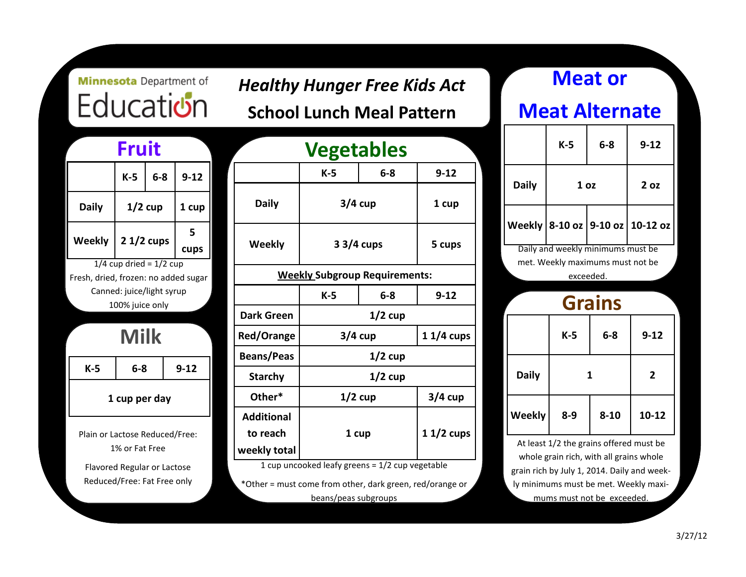# **Minnesota** Department of Education

| Fruit                                |             |       |           |  |       |
|--------------------------------------|-------------|-------|-----------|--|-------|
|                                      | $K-5$       | $6-8$ | $9 - 12$  |  |       |
| <b>Daily</b>                         | $1/2$ cup   |       |           |  | 1 cup |
| <b>Weekly</b>                        | $21/2$ cups |       | 5<br>cups |  |       |
| $1/4$ cup dried = $1/2$ cup          |             |       |           |  |       |
| Fresh, dried, frozen: no added sugar |             |       |           |  |       |
| Canned: juice/light syrup            |             |       |           |  |       |
| 100% juice only                      |             |       |           |  |       |
|                                      |             |       |           |  |       |
| Milk                                 |             |       |           |  |       |

**K-5 6-8 9-12**

**1 cup per day**

Plain or Lactose Reduced/Free: 1% or Fat Free

Flavored Regular or Lactose Reduced/Free: Fat Free only

| <b>Fruit</b>        |                                     | <b>Vegetables</b>                                                     |              |                   |             |                                      |          |
|---------------------|-------------------------------------|-----------------------------------------------------------------------|--------------|-------------------|-------------|--------------------------------------|----------|
| $K-5$               | $6-8$                               | $9 - 12$                                                              |              |                   | $K-5$       | $6-8$                                | $9 - 12$ |
| $1/2$ cup           |                                     | 1 cup                                                                 |              | <b>Daily</b>      | $3/4$ cup   |                                      | 1 cup    |
| $21/2$ cups         |                                     | 5<br>cups                                                             |              | <b>Weekly</b>     | $33/4$ cups |                                      | 5 cups   |
|                     | $p \text{ dried} = 1/2 \text{ cup}$ | frozen: no added sugar                                                |              |                   |             | <b>Weekly Subgroup Requirements:</b> |          |
|                     | d: juice/light syrup                |                                                                       |              |                   | $K-5$       | $6-8$                                | $9 - 12$ |
| 0% juice only       |                                     | <b>Dark Green</b>                                                     | $1/2$ cup    |                   |             |                                      |          |
| <b>Milk</b>         |                                     | Red/Orange                                                            | $3/4$ cup    |                   | $11/4$ cups |                                      |          |
|                     |                                     |                                                                       |              | <b>Beans/Peas</b> | $1/2$ cup   |                                      |          |
| $6-8$               |                                     | $9 - 12$                                                              |              | <b>Starchy</b>    | $1/2$ cup   |                                      |          |
| cup per day         |                                     | Other*                                                                | $1/2$ cup    |                   | $3/4$ cup   |                                      |          |
|                     |                                     |                                                                       |              | <b>Additional</b> |             |                                      |          |
| ctose Reduced/Free: |                                     | to reach                                                              |              | 1 cup             | $11/2$ cups |                                      |          |
| % or Fat Free       |                                     |                                                                       | weekly total |                   |             |                                      |          |
|                     |                                     | 1 cup uncooked leafy greens = 1/2 cup vegetable<br>Regular or Lactose |              |                   |             |                                      |          |

*Healthy Hunger Free Kids Act* 

**School Lunch Meal Pattern**

\*Other = must come from other, dark green, red/orange or beans/peas subgroups

# **Meat or Meat Alternate Grains K-5 6-8 9-12 Daily 1 oz 2 oz Weekly 8-10 oz 9-10 oz 10-12 oz K-5 6-8 9-12 Daily 1 2 Weekly 8-9 8-10 10-12** Daily and weekly minimums must be met. Weekly maximums must not be exceeded.

At least 1/2 the grains offered must be whole grain rich, with all grains whole grain rich by July 1, 2014. Daily and weekly minimums must be met. Weekly maximums must not be exceeded.